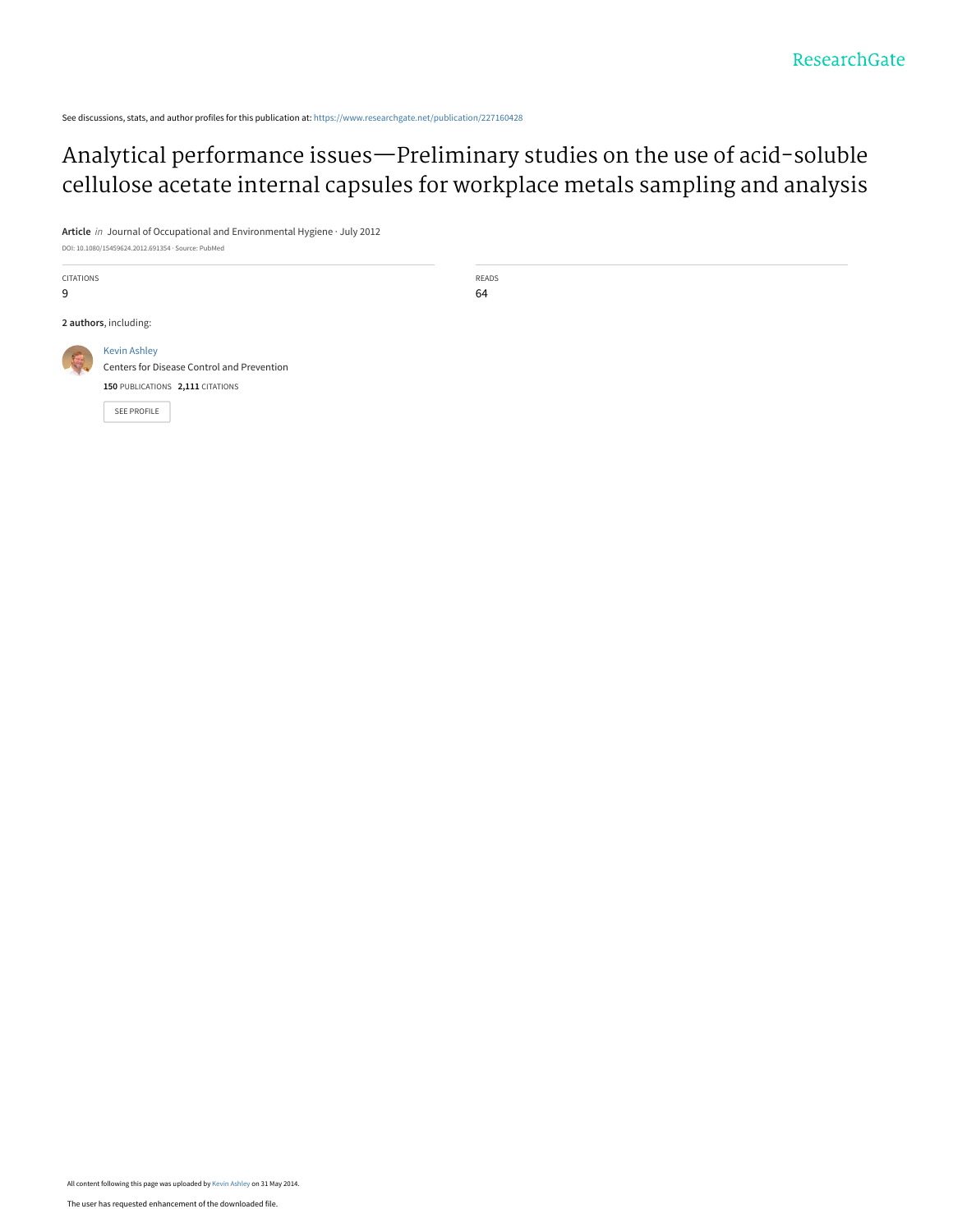See discussions, stats, and author profiles for this publication at: [https://www.researchgate.net/publication/227160428](https://www.researchgate.net/publication/227160428_Analytical_performance_issues-Preliminary_studies_on_the_use_of_acid-soluble_cellulose_acetate_internal_capsules_for_workplace_metals_sampling_and_analysis?enrichId=rgreq-a2f16e69927b8be12771ddd28aa9ea9f-XXX&enrichSource=Y292ZXJQYWdlOzIyNzE2MDQyODtBUzoxMDI4MTg4NTM2ODczMDhAMTQwMTUyNTMzMzc4NQ%3D%3D&el=1_x_2&_esc=publicationCoverPdf)

[Analytical performance issues—Preliminary studies on the use of acid-soluble](https://www.researchgate.net/publication/227160428_Analytical_performance_issues-Preliminary_studies_on_the_use_of_acid-soluble_cellulose_acetate_internal_capsules_for_workplace_metals_sampling_and_analysis?enrichId=rgreq-a2f16e69927b8be12771ddd28aa9ea9f-XXX&enrichSource=Y292ZXJQYWdlOzIyNzE2MDQyODtBUzoxMDI4MTg4NTM2ODczMDhAMTQwMTUyNTMzMzc4NQ%3D%3D&el=1_x_3&_esc=publicationCoverPdf) cellulose acetate internal capsules for workplace metals sampling and analysis

**Article** in Journal of Occupational and Environmental Hygiene · July 2012

DOI: 10.1080/15459624.2012.691354 · Source: PubMed

CITATIONS 9

**2 authors**, including:



[Centers for Disease Control and Prevention](https://www.researchgate.net/institution/Centers_for_Disease_Control_and_Prevention?enrichId=rgreq-a2f16e69927b8be12771ddd28aa9ea9f-XXX&enrichSource=Y292ZXJQYWdlOzIyNzE2MDQyODtBUzoxMDI4MTg4NTM2ODczMDhAMTQwMTUyNTMzMzc4NQ%3D%3D&el=1_x_6&_esc=publicationCoverPdf) **150** PUBLICATIONS **2,111** CITATIONS

[SEE PROFILE](https://www.researchgate.net/profile/Kevin_Ashley?enrichId=rgreq-a2f16e69927b8be12771ddd28aa9ea9f-XXX&enrichSource=Y292ZXJQYWdlOzIyNzE2MDQyODtBUzoxMDI4MTg4NTM2ODczMDhAMTQwMTUyNTMzMzc4NQ%3D%3D&el=1_x_7&_esc=publicationCoverPdf)

[Kevin Ashley](https://www.researchgate.net/profile/Kevin_Ashley?enrichId=rgreq-a2f16e69927b8be12771ddd28aa9ea9f-XXX&enrichSource=Y292ZXJQYWdlOzIyNzE2MDQyODtBUzoxMDI4MTg4NTM2ODczMDhAMTQwMTUyNTMzMzc4NQ%3D%3D&el=1_x_5&_esc=publicationCoverPdf)

READS

64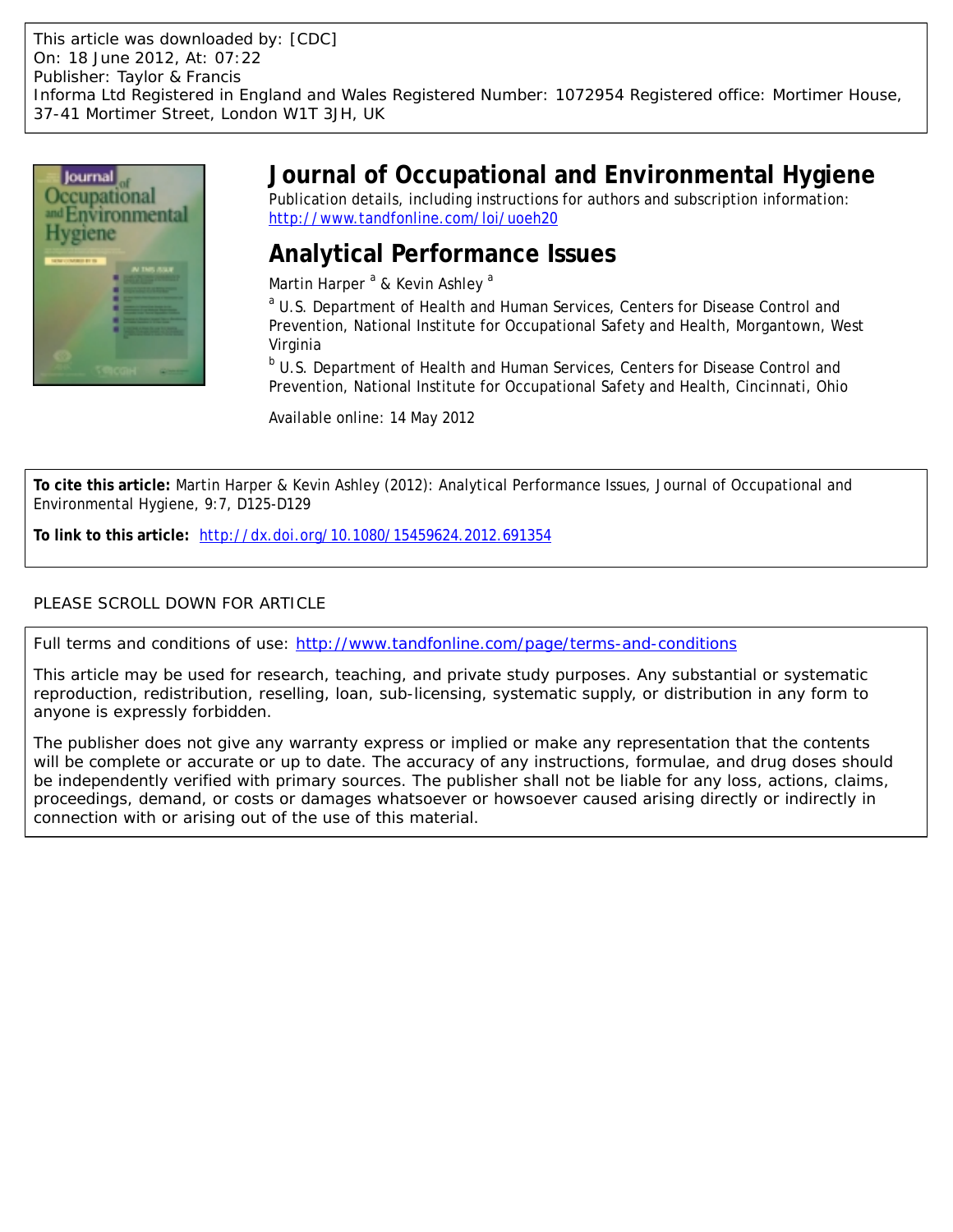

# **Journal of Occupational and Environmental Hygiene**

Publication details, including instructions for authors and subscription information: <http://www.tandfonline.com/loi/uoeh20>

## **Analytical Performance Issues**

Martin Harper <sup>a</sup> & Kevin Ashley <sup>a</sup>

<sup>a</sup> U.S. Department of Health and Human Services, Centers for Disease Control and Prevention, National Institute for Occupational Safety and Health, Morgantown, West Virginia

<sup>b</sup> U.S. Department of Health and Human Services, Centers for Disease Control and Prevention, National Institute for Occupational Safety and Health, Cincinnati, Ohio

Available online: 14 May 2012

**To cite this article:** Martin Harper & Kevin Ashley (2012): Analytical Performance Issues, Journal of Occupational and Environmental Hygiene, 9:7, D125-D129

**To link to this article:** <http://dx.doi.org/10.1080/15459624.2012.691354>

## PLEASE SCROLL DOWN FOR ARTICLE

Full terms and conditions of use:<http://www.tandfonline.com/page/terms-and-conditions>

This article may be used for research, teaching, and private study purposes. Any substantial or systematic reproduction, redistribution, reselling, loan, sub-licensing, systematic supply, or distribution in any form to anyone is expressly forbidden.

The publisher does not give any warranty express or implied or make any representation that the contents will be complete or accurate or up to date. The accuracy of any instructions, formulae, and drug doses should be independently verified with primary sources. The publisher shall not be liable for any loss, actions, claims, proceedings, demand, or costs or damages whatsoever or howsoever caused arising directly or indirectly in connection with or arising out of the use of this material.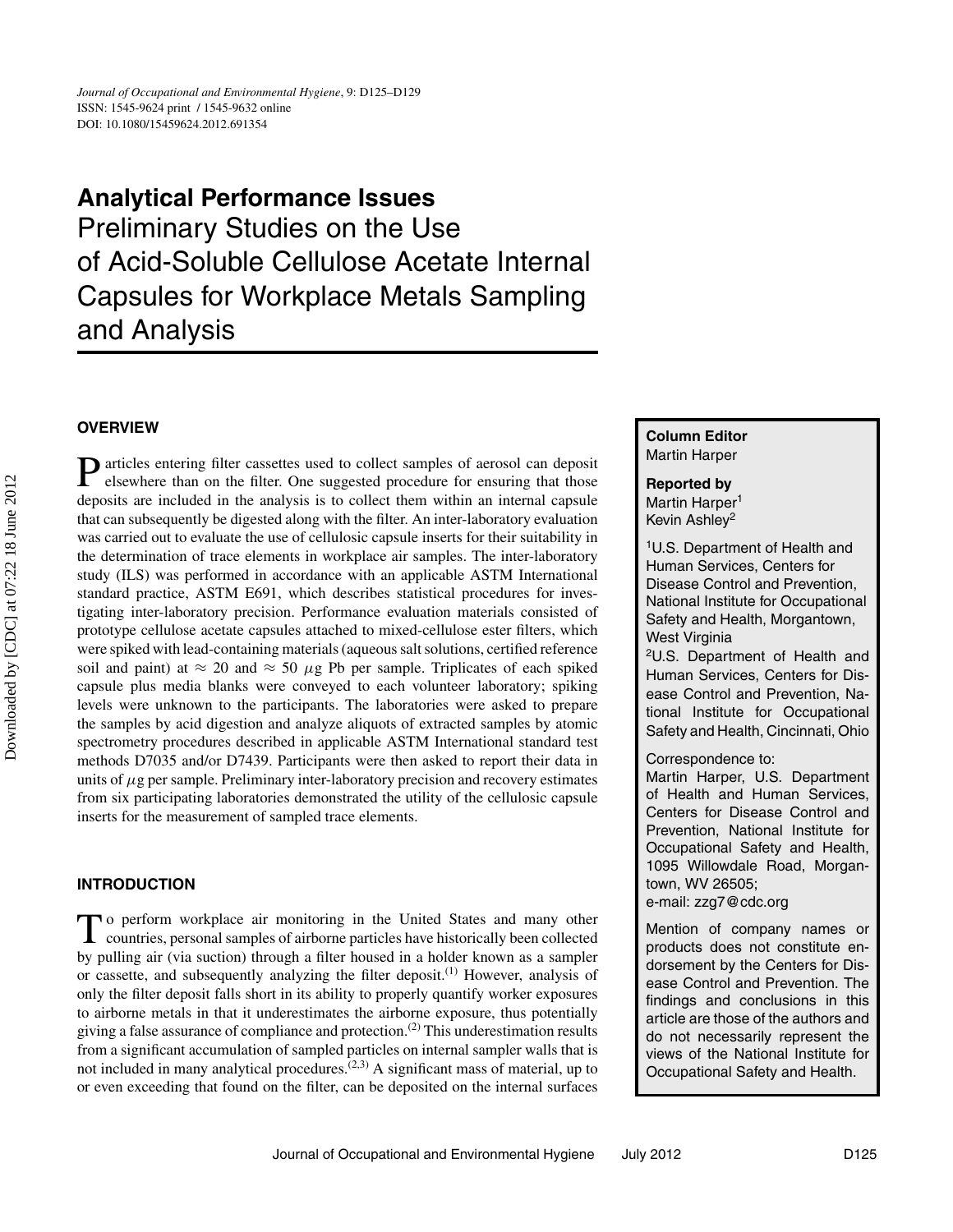**Analytical Performance Issues** Preliminary Studies on the Use of Acid-Soluble Cellulose Acetate Internal Capsules for Workplace Metals Sampling and Analysis

#### **OVERVIEW**

**P** articles entering filter cassettes used to collect samples of aerosol can deposit elsewhere than on the filter. elsewhere than on the filter. One suggested procedure for ensuring that those deposits are included in the analysis is to collect them within an internal capsule that can subsequently be digested along with the filter. An inter-laboratory evaluation was carried out to evaluate the use of cellulosic capsule inserts for their suitability in the determination of trace elements in workplace air samples. The inter-laboratory study (ILS) was performed in accordance with an applicable ASTM International standard practice, ASTM E691, which describes statistical procedures for investigating inter-laboratory precision. Performance evaluation materials consisted of prototype cellulose acetate capsules attached to mixed-cellulose ester filters, which were spiked with lead-containing materials (aqueous salt solutions, certified reference soil and paint) at  $\approx 20$  and  $\approx 50 \mu$ g Pb per sample. Triplicates of each spiked capsule plus media blanks were conveyed to each volunteer laboratory; spiking levels were unknown to the participants. The laboratories were asked to prepare the samples by acid digestion and analyze aliquots of extracted samples by atomic spectrometry procedures described in applicable ASTM International standard test methods D7035 and/or D7439. Participants were then asked to report their data in units of  $\mu$ g per sample. Preliminary inter-laboratory precision and recovery estimates from six participating laboratories demonstrated the utility of the cellulosic capsule inserts for the measurement of sampled trace elements.

#### **INTRODUCTION**

To perform workplace air monitoring in the United States and many other countries, personal samples of airborne particles have historically been collected by pulling air (via suction) through a filter housed in a holder known as a sampler or cassette, and subsequently analyzing the filter deposit.<sup>(1)</sup> However, analysis of only the filter deposit falls short in its ability to properly quantify worker exposures to airborne metals in that it underestimates the airborne exposure, thus potentially giving a false assurance of compliance and protection.(2) This underestimation results from a significant accumulation of sampled particles on internal sampler walls that is not included in many analytical procedures.<sup>(2,3)</sup> A significant mass of material, up to or even exceeding that found on the filter, can be deposited on the internal surfaces

### **Column Editor** Martin Harper

**Reported by** Martin Harper<sup>1</sup> Kevin Ashley<sup>2</sup>

<sup>1</sup>U.S. Department of Health and Human Services, Centers for Disease Control and Prevention, National Institute for Occupational Safety and Health, Morgantown, West Virginia

2U.S. Department of Health and Human Services, Centers for Disease Control and Prevention, National Institute for Occupational Safety and Health, Cincinnati, Ohio

Correspondence to:

Martin Harper, U.S. Department of Health and Human Services, Centers for Disease Control and Prevention, National Institute for Occupational Safety and Health, 1095 Willowdale Road, Morgantown, WV 26505;

e-mail: zzg7@cdc.org

Mention of company names or products does not constitute endorsement by the Centers for Disease Control and Prevention. The findings and conclusions in this article are those of the authors and do not necessarily represent the views of the National Institute for Occupational Safety and Health.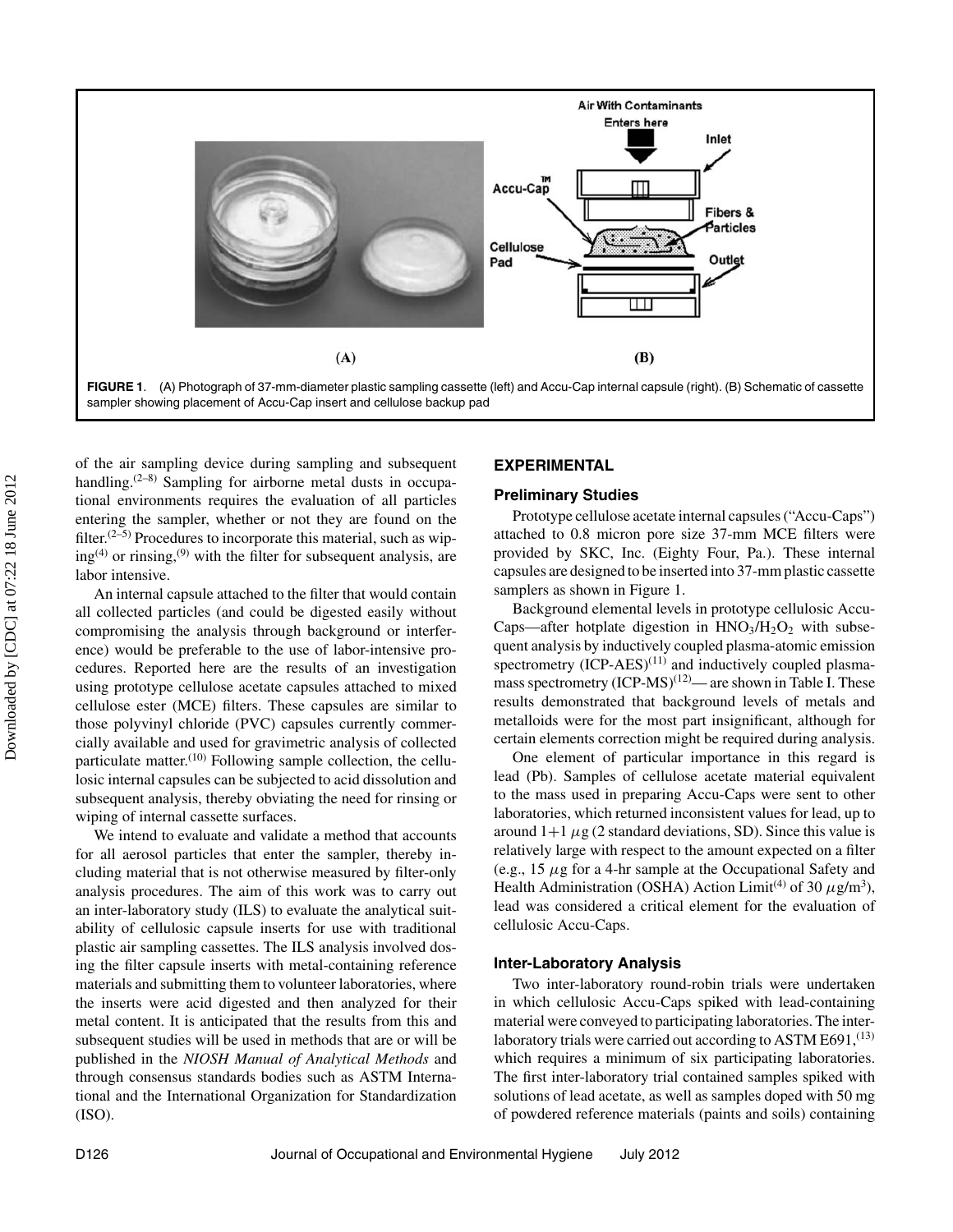

of the air sampling device during sampling and subsequent handling. $(2-8)$  Sampling for airborne metal dusts in occupational environments requires the evaluation of all particles entering the sampler, whether or not they are found on the filter.<sup> $(2-5)$ </sup> Procedures to incorporate this material, such as wip $ing<sup>(4)</sup>$  or rinsing,<sup>(9)</sup> with the filter for subsequent analysis, are labor intensive.

An internal capsule attached to the filter that would contain all collected particles (and could be digested easily without compromising the analysis through background or interference) would be preferable to the use of labor-intensive procedures. Reported here are the results of an investigation using prototype cellulose acetate capsules attached to mixed cellulose ester (MCE) filters. These capsules are similar to those polyvinyl chloride (PVC) capsules currently commercially available and used for gravimetric analysis of collected particulate matter. $(10)$  Following sample collection, the cellulosic internal capsules can be subjected to acid dissolution and subsequent analysis, thereby obviating the need for rinsing or wiping of internal cassette surfaces.

We intend to evaluate and validate a method that accounts for all aerosol particles that enter the sampler, thereby including material that is not otherwise measured by filter-only analysis procedures. The aim of this work was to carry out an inter-laboratory study (ILS) to evaluate the analytical suitability of cellulosic capsule inserts for use with traditional plastic air sampling cassettes. The ILS analysis involved dosing the filter capsule inserts with metal-containing reference materials and submitting them to volunteer laboratories, where the inserts were acid digested and then analyzed for their metal content. It is anticipated that the results from this and subsequent studies will be used in methods that are or will be published in the *NIOSH Manual of Analytical Methods* and through consensus standards bodies such as ASTM International and the International Organization for Standardization (ISO).

#### **EXPERIMENTAL**

#### **Preliminary Studies**

Prototype cellulose acetate internal capsules ("Accu-Caps") attached to 0.8 micron pore size 37-mm MCE filters were provided by SKC, Inc. (Eighty Four, Pa.). These internal capsules are designed to be inserted into 37-mm plastic cassette samplers as shown in Figure 1.

Background elemental levels in prototype cellulosic Accu-Caps—after hotplate digestion in  $HNO<sub>3</sub>/H<sub>2</sub>O<sub>2</sub>$  with subsequent analysis by inductively coupled plasma-atomic emission spectrometry  $(ICP-AES)^{(11)}$  and inductively coupled plasmamass spectrometry  $(ICP-MS)^{(12)}$ — are shown in Table I. These results demonstrated that background levels of metals and metalloids were for the most part insignificant, although for certain elements correction might be required during analysis.

One element of particular importance in this regard is lead (Pb). Samples of cellulose acetate material equivalent to the mass used in preparing Accu-Caps were sent to other laboratories, which returned inconsistent values for lead, up to around  $1+1 \mu$ g (2 standard deviations, SD). Since this value is relatively large with respect to the amount expected on a filter (e.g., 15 *µ*g for a 4-hr sample at the Occupational Safety and Health Administration (OSHA) Action Limit<sup>(4)</sup> of 30  $\mu$ g/m<sup>3</sup>), lead was considered a critical element for the evaluation of cellulosic Accu-Caps.

#### **Inter-Laboratory Analysis**

Two inter-laboratory round-robin trials were undertaken in which cellulosic Accu-Caps spiked with lead-containing material were conveyed to participating laboratories. The interlaboratory trials were carried out according to  $ASTM E691,^{(13)}$ which requires a minimum of six participating laboratories. The first inter-laboratory trial contained samples spiked with solutions of lead acetate, as well as samples doped with 50 mg of powdered reference materials (paints and soils) containing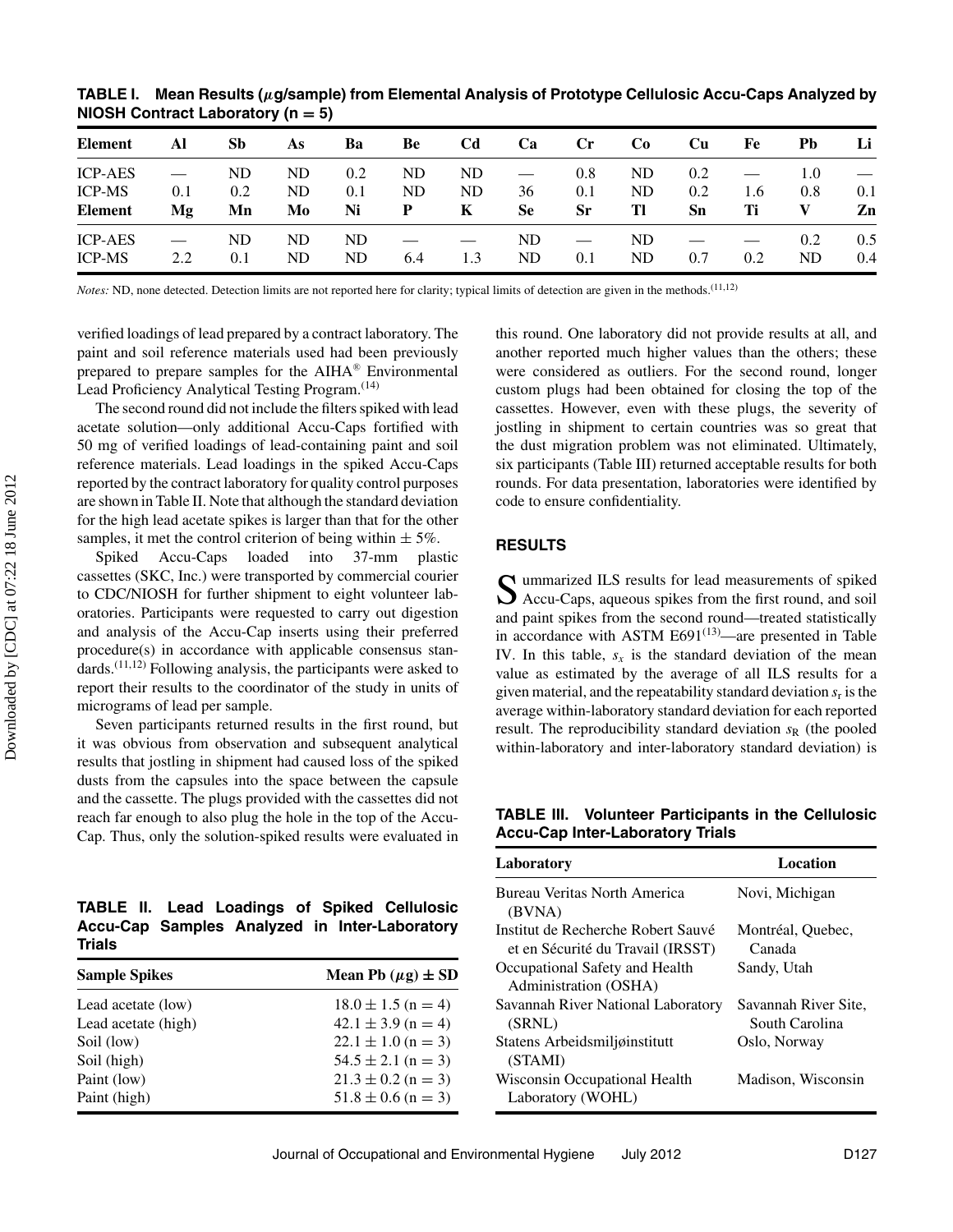| <b>Element</b>                                    | Al        | Sb              | As             | Ba               | Be                       | Cd              | Ca              | $\mathbf{C}$ r                  | C <sub>0</sub>  | <b>Cu</b>        | Fe        | Pb              | Li         |
|---------------------------------------------------|-----------|-----------------|----------------|------------------|--------------------------|-----------------|-----------------|---------------------------------|-----------------|------------------|-----------|-----------------|------------|
| <b>ICP-AES</b><br><b>ICP-MS</b><br><b>Element</b> | 0.1<br>Mg | ND<br>0.2<br>Mn | ND<br>ND<br>Mo | 0.2<br>0.1<br>Ni | ND<br>ND<br>$\mathbf{P}$ | ND.<br>ND.<br>K | 36<br><b>Se</b> | 0.8<br>0.1<br><b>Sr</b>         | ND.<br>ND<br>Tl | 0.2<br>0.2<br>Sn | 1.6<br>Ti | 1.0<br>0.8<br>V | 0.1<br>Zn  |
| <b>ICP-AES</b><br><b>ICP-MS</b>                   | 2.2       | ND.<br>0.1      | ND<br>ND       | ND<br>ND         | 6.4                      | 1.3             | ND.<br>ND       | $\overline{\phantom{0}}$<br>0.1 | ND.<br>ND       | 0.7              | 0.2       | 0.2<br>ND       | 0.5<br>0.4 |

**TABLE I. Mean Results (***µ***g/sample) from Elemental Analysis of Prototype Cellulosic Accu-Caps Analyzed by NIOSH Contract Laboratory (n = 5)**

*Notes:* ND, none detected. Detection limits are not reported here for clarity; typical limits of detection are given in the methods.<sup>(11,12)</sup>

verified loadings of lead prepared by a contract laboratory. The paint and soil reference materials used had been previously prepared to prepare samples for the AIHA® Environmental Lead Proficiency Analytical Testing Program.<sup>(14)</sup>

The second round did not include the filters spiked with lead acetate solution—only additional Accu-Caps fortified with 50 mg of verified loadings of lead-containing paint and soil reference materials. Lead loadings in the spiked Accu-Caps reported by the contract laboratory for quality control purposes are shown in Table II. Note that although the standard deviation for the high lead acetate spikes is larger than that for the other samples, it met the control criterion of being within  $\pm$  5%.

Spiked Accu-Caps loaded into 37-mm plastic cassettes (SKC, Inc.) were transported by commercial courier to CDC/NIOSH for further shipment to eight volunteer laboratories. Participants were requested to carry out digestion and analysis of the Accu-Cap inserts using their preferred procedure(s) in accordance with applicable consensus standards.(11,12) Following analysis, the participants were asked to report their results to the coordinator of the study in units of micrograms of lead per sample.

Seven participants returned results in the first round, but it was obvious from observation and subsequent analytical results that jostling in shipment had caused loss of the spiked dusts from the capsules into the space between the capsule and the cassette. The plugs provided with the cassettes did not reach far enough to also plug the hole in the top of the Accu-Cap. Thus, only the solution-spiked results were evaluated in

**TABLE II. Lead Loadings of Spiked Cellulosic Accu-Cap Samples Analyzed in Inter-Laboratory Trials**

| <b>Sample Spikes</b> | Mean Pb $(\mu g) \pm SD$ |
|----------------------|--------------------------|
| Lead acetate (low)   | $18.0 \pm 1.5$ (n = 4)   |
| Lead acetate (high)  | $42.1 \pm 3.9$ (n = 4)   |
| Soil (low)           | $22.1 \pm 1.0$ (n = 3)   |
| Soil (high)          | $54.5 \pm 2.1$ (n = 3)   |
| Paint (low)          | $21.3 \pm 0.2$ (n = 3)   |
| Paint (high)         | $51.8 \pm 0.6$ (n = 3)   |

this round. One laboratory did not provide results at all, and another reported much higher values than the others; these were considered as outliers. For the second round, longer custom plugs had been obtained for closing the top of the cassettes. However, even with these plugs, the severity of jostling in shipment to certain countries was so great that the dust migration problem was not eliminated. Ultimately, six participants (Table III) returned acceptable results for both rounds. For data presentation, laboratories were identified by code to ensure confidentiality.

#### **RESULTS**

Summarized ILS results for lead measurements of spiked<br>Accu-Caps, aqueous spikes from the first round, and soil and paint spikes from the second round—treated statistically in accordance with ASTM E691<sup>(13)</sup>—are presented in Table IV. In this table,  $s_x$  is the standard deviation of the mean value as estimated by the average of all ILS results for a given material, and the repeatability standard deviation  $s_r$  is the average within-laboratory standard deviation for each reported result. The reproducibility standard deviation  $s_R$  (the pooled within-laboratory and inter-laboratory standard deviation) is

**TABLE III. Volunteer Participants in the Cellulosic Accu-Cap Inter-Laboratory Trials**

| Laboratory                                                              | Location                               |
|-------------------------------------------------------------------------|----------------------------------------|
| Bureau Veritas North America<br>(BVNA)                                  | Novi, Michigan                         |
| Institut de Recherche Robert Sauvé<br>et en Sécurité du Travail (IRSST) | Montréal, Quebec,<br>Canada            |
| Occupational Safety and Health<br>Administration (OSHA)                 | Sandy, Utah                            |
| Savannah River National Laboratory<br>(SRNL)                            | Savannah River Site,<br>South Carolina |
| Statens Arbeidsmiljøinstitutt<br>(STAMI)                                | Oslo, Norway                           |
| Wisconsin Occupational Health<br>Laboratory (WOHL)                      | Madison, Wisconsin                     |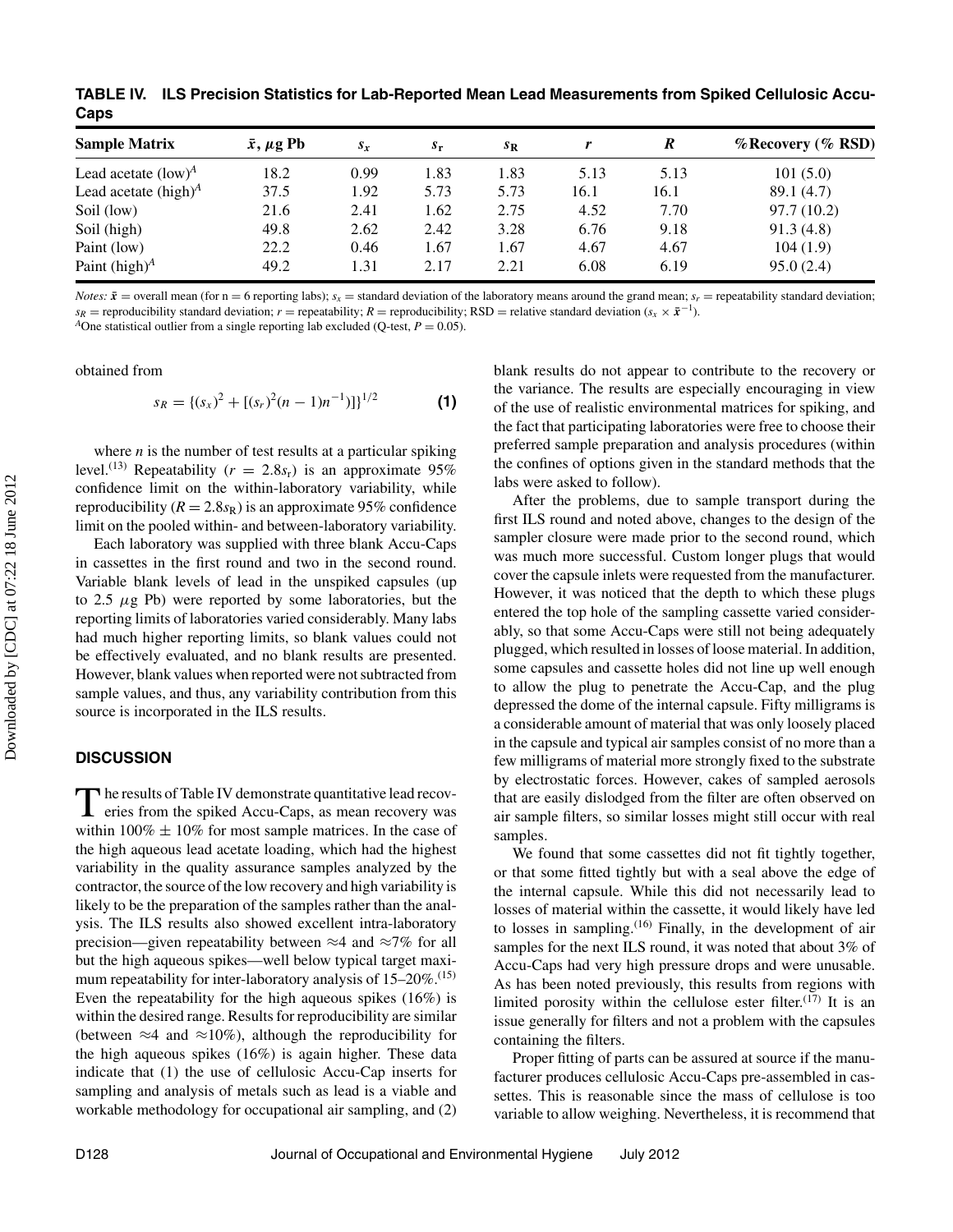| <b>Sample Matrix</b>    | $\bar{x}$ , $\mu$ g Pb | $S_{x}$ | $s_{\rm r}$ | $S_{R}$ | r    | R    | % Recovery (% RSD) |
|-------------------------|------------------------|---------|-------------|---------|------|------|--------------------|
| Lead acetate $(low)^A$  | 18.2                   | 0.99    | 1.83        | 1.83    | 5.13 | 5.13 | 101(5.0)           |
| Lead acetate $(high)^A$ | 37.5                   | 1.92    | 5.73        | 5.73    | 16.1 | 16.1 | 89.1 (4.7)         |
| Soil (low)              | 21.6                   | 2.41    | 1.62        | 2.75    | 4.52 | 7.70 | 97.7(10.2)         |
| Soil (high)             | 49.8                   | 2.62    | 2.42        | 3.28    | 6.76 | 9.18 | 91.3(4.8)          |
| Paint (low)             | 22.2                   | 0.46    | 1.67        | 1.67    | 4.67 | 4.67 | 104(1.9)           |
| Paint $(high)^A$        | 49.2                   | 1.31    | 2.17        | 2.21    | 6.08 | 6.19 | 95.0(2.4)          |

**TABLE IV. ILS Precision Statistics for Lab-Reported Mean Lead Measurements from Spiked Cellulosic Accu-Caps**

*Notes:*  $\bar{x}$  = overall mean (for n = 6 reporting labs);  $s_x$  = standard deviation of the laboratory means around the grand mean;  $s_r$  = repeatability standard deviation;  $s_R$  = reproducibility standard deviation;  $r$  = repeatability;  $R$  = reproducibility; RSD = relative standard deviation ( $s_x \times \bar{x}^{-1}$ ).<br><sup>A</sup>One statistical outlier from a single reporting lab excluded (Q-test,  $P = 0.05$ )

obtained from

$$
s_R = \{(s_x)^2 + [(s_r)^2(n-1)n^{-1}]\}^{1/2}
$$
 (1)

where  $n$  is the number of test results at a particular spiking level.<sup>(13)</sup> Repeatability ( $r = 2.8s_r$ ) is an approximate 95% confidence limit on the within-laboratory variability, while reproducibility  $(R = 2.8s_R)$  is an approximate 95% confidence limit on the pooled within- and between-laboratory variability.

Each laboratory was supplied with three blank Accu-Caps in cassettes in the first round and two in the second round. Variable blank levels of lead in the unspiked capsules (up to 2.5  $\mu$ g Pb) were reported by some laboratories, but the reporting limits of laboratories varied considerably. Many labs had much higher reporting limits, so blank values could not be effectively evaluated, and no blank results are presented. However, blank values when reported were not subtracted from sample values, and thus, any variability contribution from this source is incorporated in the ILS results.

#### **DISCUSSION**

The results of Table IV demonstrate quantitative lead recoveries from the spiked Accu-Caps, as mean recovery was within 100%  $\pm$  10% for most sample matrices. In the case of the high aqueous lead acetate loading, which had the highest variability in the quality assurance samples analyzed by the contractor, the source of the low recovery and high variability is likely to be the preparation of the samples rather than the analysis. The ILS results also showed excellent intra-laboratory precision—given repeatability between  $\approx$ 4 and  $\approx$ 7% for all but the high aqueous spikes—well below typical target maximum repeatability for inter-laboratory analysis of 15–20%.<sup>(15)</sup> Even the repeatability for the high aqueous spikes (16%) is within the desired range. Results for reproducibility are similar (between  $\approx$ 4 and  $\approx$ 10%), although the reproducibility for the high aqueous spikes (16%) is again higher. These data indicate that (1) the use of cellulosic Accu-Cap inserts for sampling and analysis of metals such as lead is a viable and workable methodology for occupational air sampling, and (2) blank results do not appear to contribute to the recovery or the variance. The results are especially encouraging in view of the use of realistic environmental matrices for spiking, and the fact that participating laboratories were free to choose their preferred sample preparation and analysis procedures (within the confines of options given in the standard methods that the labs were asked to follow).

After the problems, due to sample transport during the first ILS round and noted above, changes to the design of the sampler closure were made prior to the second round, which was much more successful. Custom longer plugs that would cover the capsule inlets were requested from the manufacturer. However, it was noticed that the depth to which these plugs entered the top hole of the sampling cassette varied considerably, so that some Accu-Caps were still not being adequately plugged, which resulted in losses of loose material. In addition, some capsules and cassette holes did not line up well enough to allow the plug to penetrate the Accu-Cap, and the plug depressed the dome of the internal capsule. Fifty milligrams is a considerable amount of material that was only loosely placed in the capsule and typical air samples consist of no more than a few milligrams of material more strongly fixed to the substrate by electrostatic forces. However, cakes of sampled aerosols that are easily dislodged from the filter are often observed on air sample filters, so similar losses might still occur with real samples.

We found that some cassettes did not fit tightly together, or that some fitted tightly but with a seal above the edge of the internal capsule. While this did not necessarily lead to losses of material within the cassette, it would likely have led to losses in sampling. $(16)$  Finally, in the development of air samples for the next ILS round, it was noted that about 3% of Accu-Caps had very high pressure drops and were unusable. As has been noted previously, this results from regions with limited porosity within the cellulose ester filter.<sup>(17)</sup> It is an issue generally for filters and not a problem with the capsules containing the filters.

Proper fitting of parts can be assured at source if the manufacturer produces cellulosic Accu-Caps pre-assembled in cassettes. This is reasonable since the mass of cellulose is too variable to allow weighing. Nevertheless, it is recommend that